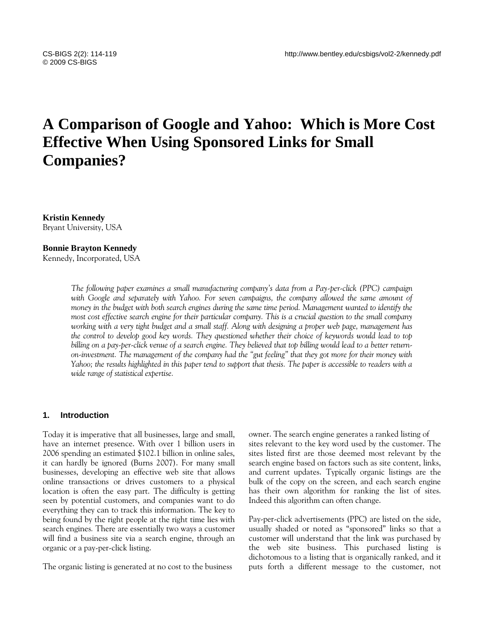# **A Comparison of Google and Yahoo: Which is More Cost Effective When Using Sponsored Links for Small Companies?**

**Kristin Kennedy** Bryant University, USA

### **Bonnie Brayton Kennedy**

Kennedy, Incorporated, USA

*The following paper examines a small manufacturing company's data from a Pay-per-click (PPC) campaign*  with Google and separately with Yahoo. For seven campaigns, the company allowed the same amount of *money in the budget with both search engines during the same time period. Management wanted to identify the most cost effective search engine for their particular company. This is a crucial question to the small company working with a very tight budget and a small staff. Along with designing a proper web page, management has the control to develop good key words. They questioned whether their choice of keywords would lead to top billing on a pay-per-click venue of a search engine. They believed that top billing would lead to a better returnon-investment. The management of the company had the "gut feeling" that they got more for their money with Yahoo; the results highlighted in this paper tend to support that thesis. The paper is accessible to readers with a wide range of statistical expertise.*

#### **1. Introduction**

Today it is imperative that all businesses, large and small, have an internet presence. With over 1 billion users in 2006 spending an estimated \$102.1 billion in online sales, it can hardly be ignored (Burns 2007). For many small businesses, developing an effective web site that allows online transactions or drives customers to a physical location is often the easy part. The difficulty is getting seen by potential customers, and companies want to do everything they can to track this information. The key to being found by the right people at the right time lies with search engines*.* There are essentially two ways a customer will find a business site via a search engine, through an organic or a pay-per-click listing.

The organic listing is generated at no cost to the business

owner. The search engine generates a ranked listing of sites relevant to the key word used by the customer. The sites listed first are those deemed most relevant by the search engine based on factors such as site content, links, and current updates. Typically organic listings are the bulk of the copy on the screen, and each search engine has their own algorithm for ranking the list of sites. Indeed this algorithm can often change.

Pay-per-click advertisements (PPC) are listed on the side, usually shaded or noted as "sponsored" links so that a customer will understand that the link was purchased by the web site business. This purchased listing is dichotomous to a listing that is organically ranked, and it puts forth a different message to the customer, not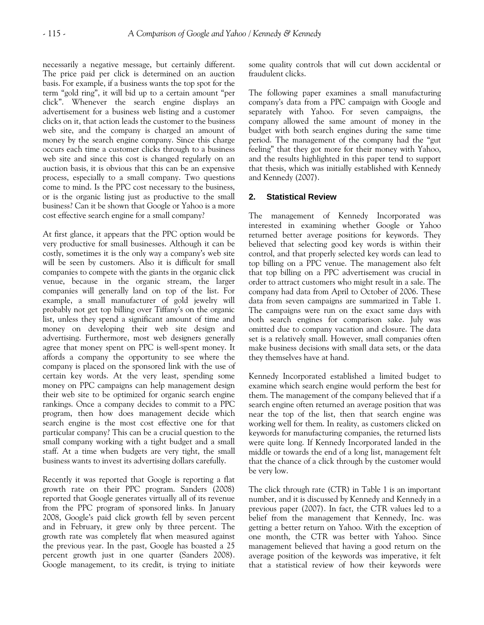necessarily a negative message, but certainly different. The price paid per click is determined on an auction basis. For example, if a business wants the top spot for the term "gold ring", it will bid up to a certain amount "per click". Whenever the search engine displays an advertisement for a business web listing and a customer clicks on it, that action leads the customer to the business web site, and the company is charged an amount of money by the search engine company. Since this charge occurs each time a customer clicks through to a business web site and since this cost is changed regularly on an auction basis, it is obvious that this can be an expensive process, especially to a small company. Two questions come to mind. Is the PPC cost necessary to the business, or is the organic listing just as productive to the small business? Can it be shown that Google or Yahoo is a more cost effective search engine for a small company?

At first glance, it appears that the PPC option would be very productive for small businesses. Although it can be costly, sometimes it is the only way a company's web site will be seen by customers. Also it is difficult for small companies to compete with the giants in the organic click venue, because in the organic stream, the larger companies will generally land on top of the list. For example, a small manufacturer of gold jewelry will probably not get top billing over Tiffany's on the organic list, unless they spend a significant amount of time and money on developing their web site design and advertising. Furthermore, most web designers generally agree that money spent on PPC is well-spent money. It affords a company the opportunity to see where the company is placed on the sponsored link with the use of certain key words. At the very least, spending some money on PPC campaigns can help management design their web site to be optimized for organic search engine rankings. Once a company decides to commit to a PPC program, then how does management decide which search engine is the most cost effective one for that particular company? This can be a crucial question to the small company working with a tight budget and a small staff. At a time when budgets are very tight, the small business wants to invest its advertising dollars carefully.

Recently it was reported that Google is reporting a flat growth rate on their PPC program. Sanders (2008) reported that Google generates virtually all of its revenue from the PPC program of sponsored links. In January 2008, Google's paid click growth fell by seven percent and in February, it grew only by three percent. The growth rate was completely flat when measured against the previous year. In the past, Google has boasted a 25 percent growth just in one quarter (Sanders 2008). Google management, to its credit, is trying to initiate some quality controls that will cut down accidental or fraudulent clicks.

The following paper examines a small manufacturing company's data from a PPC campaign with Google and separately with Yahoo. For seven campaigns, the company allowed the same amount of money in the budget with both search engines during the same time period. The management of the company had the "gut feeling" that they got more for their money with Yahoo, and the results highlighted in this paper tend to support that thesis, which was initially established with Kennedy and Kennedy (2007).

## **2. Statistical Review**

The management of Kennedy Incorporated was interested in examining whether Google or Yahoo returned better average positions for keywords. They believed that selecting good key words is within their control, and that properly selected key words can lead to top billing on a PPC venue. The management also felt that top billing on a PPC advertisement was crucial in order to attract customers who might result in a sale. The company had data from April to October of 2006. These data from seven campaigns are summarized in Table 1. The campaigns were run on the exact same days with both search engines for comparison sake. July was omitted due to company vacation and closure. The data set is a relatively small. However, small companies often make business decisions with small data sets, or the data they themselves have at hand.

Kennedy Incorporated established a limited budget to examine which search engine would perform the best for them. The management of the company believed that if a search engine often returned an average position that was near the top of the list, then that search engine was working well for them. In reality, as customers clicked on keywords for manufacturing companies, the returned lists were quite long. If Kennedy Incorporated landed in the middle or towards the end of a long list, management felt that the chance of a click through by the customer would be very low.

The click through rate (CTR) in Table 1 is an important number, and it is discussed by Kennedy and Kennedy in a previous paper (2007). In fact, the CTR values led to a belief from the management that Kennedy, Inc. was getting a better return on Yahoo. With the exception of one month, the CTR was better with Yahoo. Since management believed that having a good return on the average position of the keywords was imperative, it felt that a statistical review of how their keywords were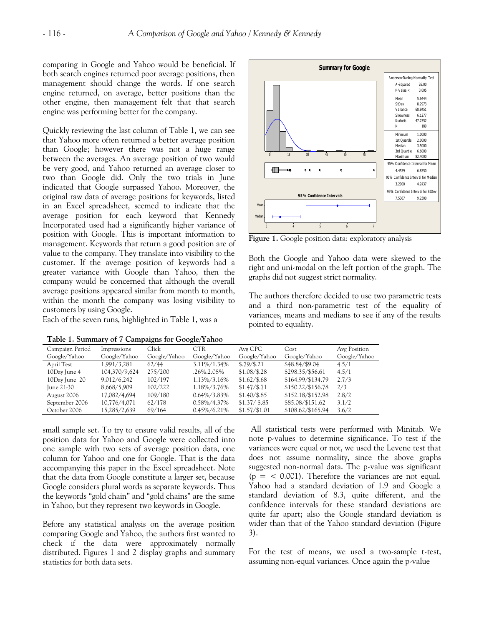comparing in Google and Yahoo would be beneficial. If both search engines returned poor average positions, then management should change the words. If one search engine returned, on average, better positions than the other engine, then management felt that that search engine was performing better for the company.

Quickly reviewing the last column of Table 1, we can see that Yahoo more often returned a better average position than Google; however there was not a huge range between the averages. An average position of two would be very good, and Yahoo returned an average closer to two than Google did. Only the two trials in June indicated that Google surpassed Yahoo. Moreover, the original raw data of average positions for keywords, listed in an Excel spreadsheet, seemed to indicate that the average position for each keyword that Kennedy Incorporated used had a significantly higher variance of position with Google. This is important information to management. Keywords that return a good position are of value to the company. They translate into visibility to the customer. If the average position of keywords had a greater variance with Google than Yahoo, then the company would be concerned that although the overall average positions appeared similar from month to month, within the month the company was losing visibility to customers by using Google.

Each of the seven runs, highlighted in Table 1, was a

|  | Table 1. Summary of 7 Campaigns for Google/Yahoo |
|--|--------------------------------------------------|
|  |                                                  |



**Figure 1.** Google position data: exploratory analysis

Both the Google and Yahoo data were skewed to the right and uni-modal on the left portion of the graph. The graphs did not suggest strict normality.

The authors therefore decided to use two parametric tests and a third non-parametric test of the equality of variances, means and medians to see if any of the results pointed to equality.

| $-1$ $-1$       |               |              |                 |                |                   |              |  |
|-----------------|---------------|--------------|-----------------|----------------|-------------------|--------------|--|
| Campaign Period | Impressions   | Click        | <b>CTR</b>      | Avg CPC        | Cost              | Avg Position |  |
| Google/Yahoo    | Google/Yahoo  | Google/Yahoo | Google/Yahoo    | Google/Yahoo   | Google/Yahoo      | Google/Yahoo |  |
| April Test      | 1,991/3,281   | 62/44        | 3.11%/1.34%     | \$.79/\$.21    | \$48.84/\$9.04    | 4.5/1        |  |
| 10Day June 4    | 104,370/9,624 | 275/200      | .26%.2.08%      | $$1.08/\$.28$  | \$298.35/\$56.61  | 4.5/1        |  |
| 10Day June 20   | 9,012/6,242   | 102/197      | 1.13%/3.16%     | $$1.62/\$.68$  | \$164.99/\$134.79 | 2.7/3        |  |
| June 21-30      | 8,668/5,909   | 102/222      | 1.18%/3.76%     | $$1.47/\$.71$  | \$150.22/\$156.78 | 2/3          |  |
| August 2006     | 17,082/4,694  | 109/180      | $0.64\%/3.83\%$ | $$1.40/\$.85$  | \$152.18/\$152.98 | 2.8/2        |  |
| September 2006  | 10,776/4,071  | 62/178       | $0.58\%/4.37\%$ | \$1.37 / \$.85 | \$85.08/\$151.62  | 3.1/2        |  |
| October 2006    | 15,285/2,639  | 69/164       | $0.45\%/6.21\%$ | $$1.57/\$1.01$ | \$108.62/\$165.94 | 3.6/2        |  |

small sample set. To try to ensure valid results, all of the position data for Yahoo and Google were collected into one sample with two sets of average position data, one column for Yahoo and one for Google. That is the data accompanying this paper in the Excel spreadsheet. Note that the data from Google constitute a larger set, because Google considers plural words as separate keywords. Thus the keywords "gold chain" and "gold chains" are the same in Yahoo, but they represent two keywords in Google.

Before any statistical analysis on the average position comparing Google and Yahoo, the authors first wanted to check if the data were approximately normally distributed. Figures 1 and 2 display graphs and summary statistics for both data sets.

All statistical tests were performed with Minitab. We note p-values to determine significance. To test if the variances were equal or not, we used the Levene test that does not assume normality, since the above graphs suggested non-normal data. The p-value was significant  $(p = 0.001)$ . Therefore the variances are not equal. Yahoo had a standard deviation of 1.9 and Google a standard deviation of 8.3, quite different, and the confidence intervals for these standard deviations are quite far apart; also the Google standard deviation is wider than that of the Yahoo standard deviation (Figure 3).

For the test of means, we used a two-sample t-test, assuming non-equal variances. Once again the p-value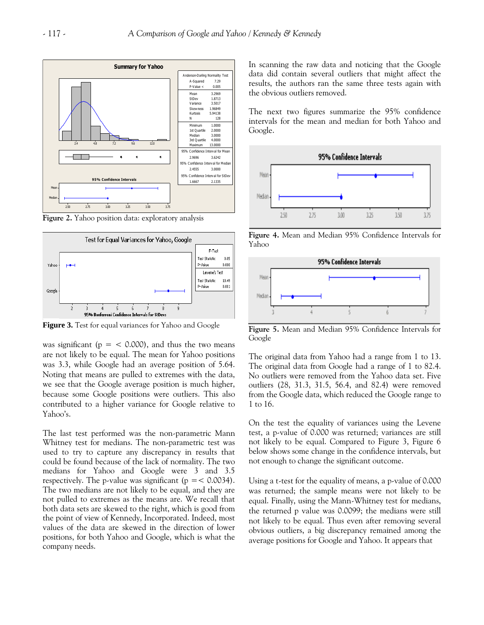

**Figure 2.** Yahoo position data: exploratory analysis



Figure 3. Test for equal variances for Yahoo and Google

was significant ( $p = < 0.000$ ), and thus the two means are not likely to be equal. The mean for Yahoo positions was 3.3, while Google had an average position of 5.64. Noting that means are pulled to extremes with the data, we see that the Google average position is much higher, because some Google positions were outliers. This also contributed to a higher variance for Google relative to Yahoo's.

The last test performed was the non-parametric Mann Whitney test for medians. The non-parametric test was used to try to capture any discrepancy in results that could be found because of the lack of normality. The two medians for Yahoo and Google were 3 and 3.5 respectively. The p-value was significant ( $p = < 0.0034$ ). The two medians are not likely to be equal, and they are not pulled to extremes as the means are. We recall that both data sets are skewed to the right, which is good from the point of view of Kennedy, Incorporated. Indeed, most values of the data are skewed in the direction of lower positions, for both Yahoo and Google, which is what the company needs.

In scanning the raw data and noticing that the Google data did contain several outliers that might affect the results, the authors ran the same three tests again with the obvious outliers removed.

The next two figures summarize the 95% confidence intervals for the mean and median for both Yahoo and Google.



**Figure 4.** Mean and Median 95% Confidence Intervals for Yahoo



**Figure 5.** Mean and Median 95% Confidence Intervals for Google

The original data from Yahoo had a range from 1 to 13. The original data from Google had a range of 1 to 82.4. No outliers were removed from the Yahoo data set. Five outliers (28, 31.3, 31.5, 56.4, and 82.4) were removed from the Google data, which reduced the Google range to 1 to 16.

On the test the equality of variances using the Levene test, a p-value of 0.000 was returned; variances are still not likely to be equal. Compared to Figure 3, Figure 6 below shows some change in the confidence intervals, but not enough to change the significant outcome.

Using a t-test for the equality of means, a p-value of 0.000 was returned; the sample means were not likely to be equal. Finally, using the Mann-Whitney test for medians, the returned p value was 0.0099; the medians were still not likely to be equal. Thus even after removing several obvious outliers, a big discrepancy remained among the average positions for Google and Yahoo. It appears that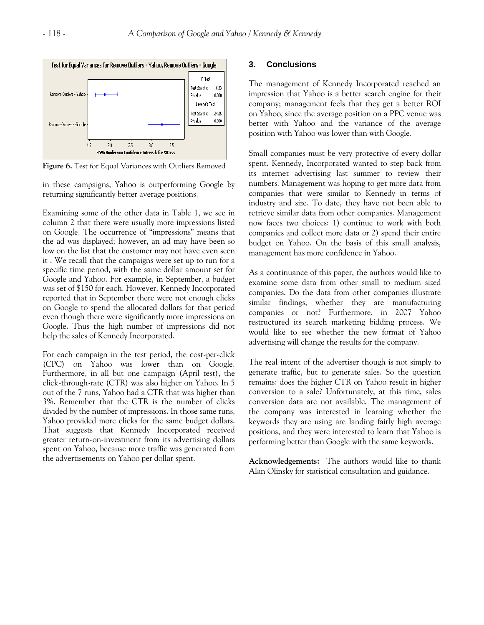

**Figure 6.** Test for Equal Variances with Outliers Removed

in these campaigns, Yahoo is outperforming Google by returning significantly better average positions.

Examining some of the other data in Table 1, we see in column 2 that there were usually more impressions listed on Google. The occurrence of "impressions" means that the ad was displayed; however, an ad may have been so low on the list that the customer may not have even seen it . We recall that the campaigns were set up to run for a specific time period, with the same dollar amount set for Google and Yahoo. For example, in September, a budget was set of \$150 for each. However, Kennedy Incorporated reported that in September there were not enough clicks on Google to spend the allocated dollars for that period even though there were significantly more impressions on Google. Thus the high number of impressions did not help the sales of Kennedy Incorporated.

For each campaign in the test period, the cost-per-click (CPC) on Yahoo was lower than on Google. Furthermore, in all but one campaign (April test), the click-through-rate (CTR) was also higher on Yahoo. In 5 out of the 7 runs, Yahoo had a CTR that was higher than 3%. Remember that the CTR is the number of clicks divided by the number of impressions. In those same runs, Yahoo provided more clicks for the same budget dollars. That suggests that Kennedy Incorporated received greater return-on-investment from its advertising dollars spent on Yahoo, because more traffic was generated from the advertisements on Yahoo per dollar spent.

#### **3. Conclusions**

The management of Kennedy Incorporated reached an impression that Yahoo is a better search engine for their company; management feels that they get a better ROI on Yahoo, since the average position on a PPC venue was better with Yahoo and the variance of the average position with Yahoo was lower than with Google.

Small companies must be very protective of every dollar spent. Kennedy, Incorporated wanted to step back from its internet advertising last summer to review their numbers. Management was hoping to get more data from companies that were similar to Kennedy in terms of industry and size. To date, they have not been able to retrieve similar data from other companies. Management now faces two choices: 1) continue to work with both companies and collect more data or 2) spend their entire budget on Yahoo. On the basis of this small analysis, management has more confidence in Yahoo.

As a continuance of this paper, the authors would like to examine some data from other small to medium sized companies. Do the data from other companies illustrate similar findings, whether they are manufacturing companies or not? Furthermore, in 2007 Yahoo restructured its search marketing bidding process. We would like to see whether the new format of Yahoo advertising will change the results for the company.

The real intent of the advertiser though is not simply to generate traffic, but to generate sales. So the question remains: does the higher CTR on Yahoo result in higher conversion to a sale? Unfortunately, at this time, sales conversion data are not available. The management of the company was interested in learning whether the keywords they are using are landing fairly high average positions, and they were interested to learn that Yahoo is performing better than Google with the same keywords.

**Acknowledgements:** The authors would like to thank Alan Olinsky for statistical consultation and guidance.